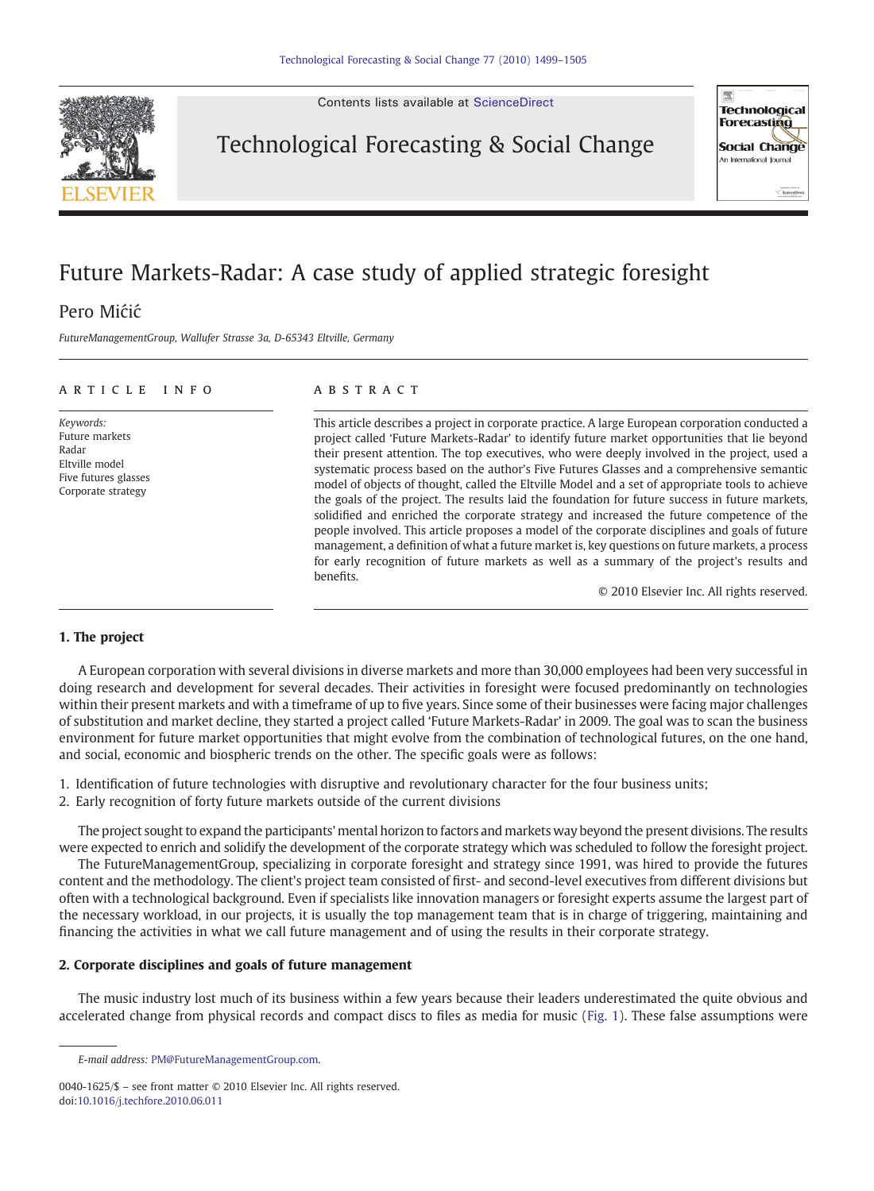Contents lists available at [ScienceDirect](http://www.sciencedirect.com/science/journal/00401625)



Technological Forecasting & Social Change



## Future Markets-Radar: A case study of applied strategic foresight

### Pero Mićić

FutureManagementGroup, Wallufer Strasse 3a, D-65343 Eltville, Germany

#### article info abstract

Keywords: Future markets Radar Eltville model Five futures glasses Corporate strategy

This article describes a project in corporate practice. A large European corporation conducted a project called 'Future Markets-Radar' to identify future market opportunities that lie beyond their present attention. The top executives, who were deeply involved in the project, used a systematic process based on the author's Five Futures Glasses and a comprehensive semantic model of objects of thought, called the Eltville Model and a set of appropriate tools to achieve the goals of the project. The results laid the foundation for future success in future markets, solidified and enriched the corporate strategy and increased the future competence of the people involved. This article proposes a model of the corporate disciplines and goals of future management, a definition of what a future market is, key questions on future markets, a process for early recognition of future markets as well as a summary of the project's results and benefits.

© 2010 Elsevier Inc. All rights reserved.

### 1. The project

A European corporation with several divisions in diverse markets and more than 30,000 employees had been very successful in doing research and development for several decades. Their activities in foresight were focused predominantly on technologies within their present markets and with a timeframe of up to five years. Since some of their businesses were facing major challenges of substitution and market decline, they started a project called 'Future Markets-Radar' in 2009. The goal was to scan the business environment for future market opportunities that might evolve from the combination of technological futures, on the one hand, and social, economic and biospheric trends on the other. The specific goals were as follows:

1. Identification of future technologies with disruptive and revolutionary character for the four business units;

2. Early recognition of forty future markets outside of the current divisions

The project sought to expand the participants' mental horizon to factors and markets way beyond the present divisions. The results were expected to enrich and solidify the development of the corporate strategy which was scheduled to follow the foresight project.

The FutureManagementGroup, specializing in corporate foresight and strategy since 1991, was hired to provide the futures content and the methodology. The client's project team consisted of first- and second-level executives from different divisions but often with a technological background. Even if specialists like innovation managers or foresight experts assume the largest part of the necessary workload, in our projects, it is usually the top management team that is in charge of triggering, maintaining and financing the activities in what we call future management and of using the results in their corporate strategy.

#### 2. Corporate disciplines and goals of future management

The music industry lost much of its business within a few years because their leaders underestimated the quite obvious and accelerated change from physical records and compact discs to files as media for music ([Fig. 1](#page-1-0)). These false assumptions were

E-mail address: [PM@FutureManagementGroup.com](mailto:PM@FutureManagementGroup.com).

<sup>0040-1625/\$</sup> – see front matter © 2010 Elsevier Inc. All rights reserved. doi[:10.1016/j.techfore.2010.06.011](http://dx.doi.org/10.1016/j.techfore.2010.06.011)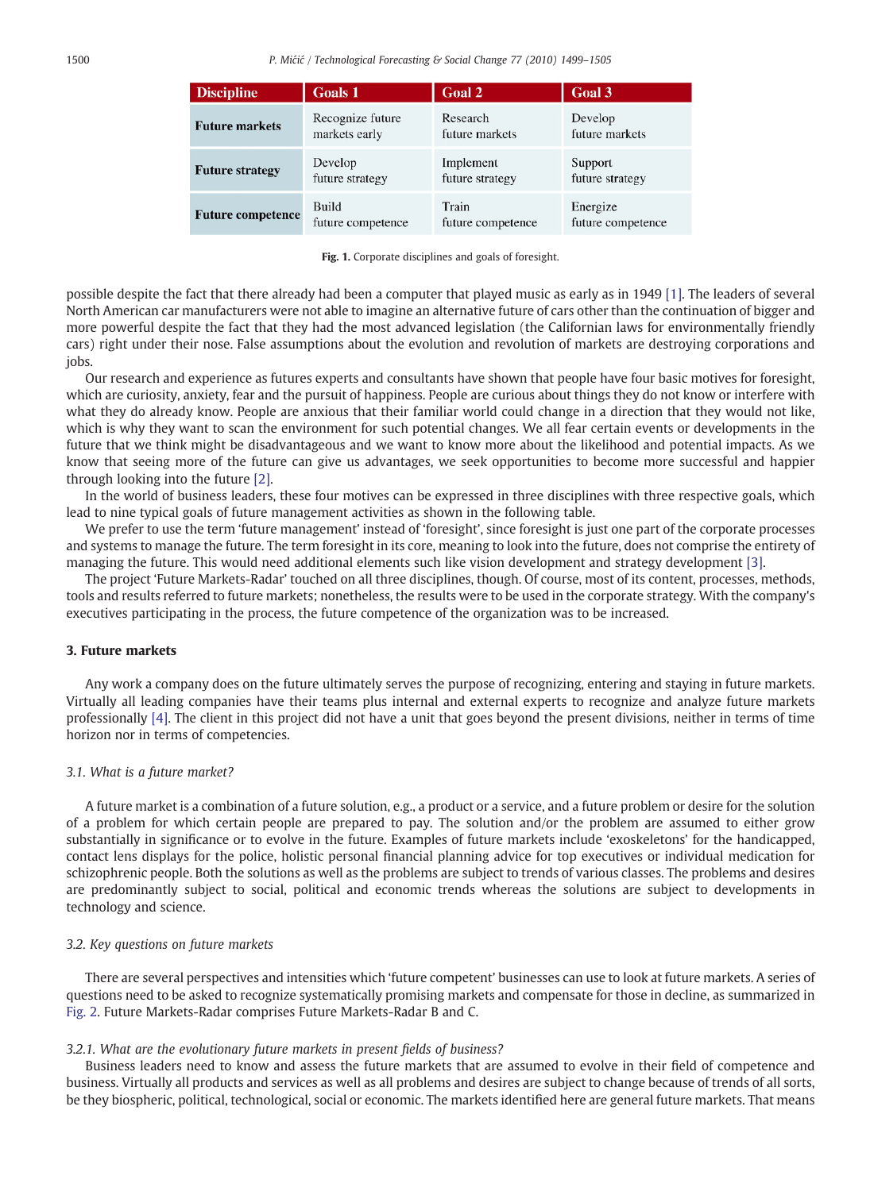<span id="page-1-0"></span>

| <b>Discipline</b>        | <b>Goals 1</b>    | Goal 2            | Goal 3            |
|--------------------------|-------------------|-------------------|-------------------|
| <b>Future markets</b>    | Recognize future  | Research          | Develop           |
|                          | markets early     | future markets    | future markets    |
| <b>Future strategy</b>   | Develop           | Implement         | Support           |
|                          | future strategy   | future strategy   | future strategy   |
| <b>Future competence</b> | Build             | Train             | Energize          |
|                          | future competence | future competence | future competence |

Fig. 1. Corporate disciplines and goals of foresight.

possible despite the fact that there already had been a computer that played music as early as in 1949 [\[1\].](#page--1-0) The leaders of several North American car manufacturers were not able to imagine an alternative future of cars other than the continuation of bigger and more powerful despite the fact that they had the most advanced legislation (the Californian laws for environmentally friendly cars) right under their nose. False assumptions about the evolution and revolution of markets are destroying corporations and jobs.

Our research and experience as futures experts and consultants have shown that people have four basic motives for foresight, which are curiosity, anxiety, fear and the pursuit of happiness. People are curious about things they do not know or interfere with what they do already know. People are anxious that their familiar world could change in a direction that they would not like, which is why they want to scan the environment for such potential changes. We all fear certain events or developments in the future that we think might be disadvantageous and we want to know more about the likelihood and potential impacts. As we know that seeing more of the future can give us advantages, we seek opportunities to become more successful and happier through looking into the future [\[2\]](#page--1-0).

In the world of business leaders, these four motives can be expressed in three disciplines with three respective goals, which lead to nine typical goals of future management activities as shown in the following table.

We prefer to use the term 'future management' instead of 'foresight', since foresight is just one part of the corporate processes and systems to manage the future. The term foresight in its core, meaning to look into the future, does not comprise the entirety of managing the future. This would need additional elements such like vision development and strategy development [\[3\]](#page--1-0).

The project 'Future Markets-Radar' touched on all three disciplines, though. Of course, most of its content, processes, methods, tools and results referred to future markets; nonetheless, the results were to be used in the corporate strategy. With the company's executives participating in the process, the future competence of the organization was to be increased.

#### 3. Future markets

Any work a company does on the future ultimately serves the purpose of recognizing, entering and staying in future markets. Virtually all leading companies have their teams plus internal and external experts to recognize and analyze future markets professionally [\[4\].](#page--1-0) The client in this project did not have a unit that goes beyond the present divisions, neither in terms of time horizon nor in terms of competencies.

#### 3.1. What is a future market?

A future market is a combination of a future solution, e.g., a product or a service, and a future problem or desire for the solution of a problem for which certain people are prepared to pay. The solution and/or the problem are assumed to either grow substantially in significance or to evolve in the future. Examples of future markets include 'exoskeletons' for the handicapped, contact lens displays for the police, holistic personal financial planning advice for top executives or individual medication for schizophrenic people. Both the solutions as well as the problems are subject to trends of various classes. The problems and desires are predominantly subject to social, political and economic trends whereas the solutions are subject to developments in technology and science.

#### 3.2. Key questions on future markets

There are several perspectives and intensities which 'future competent' businesses can use to look at future markets. A series of questions need to be asked to recognize systematically promising markets and compensate for those in decline, as summarized in [Fig. 2.](#page--1-0) Future Markets-Radar comprises Future Markets-Radar B and C.

#### 3.2.1. What are the evolutionary future markets in present fields of business?

Business leaders need to know and assess the future markets that are assumed to evolve in their field of competence and business. Virtually all products and services as well as all problems and desires are subject to change because of trends of all sorts, be they biospheric, political, technological, social or economic. The markets identified here are general future markets. That means